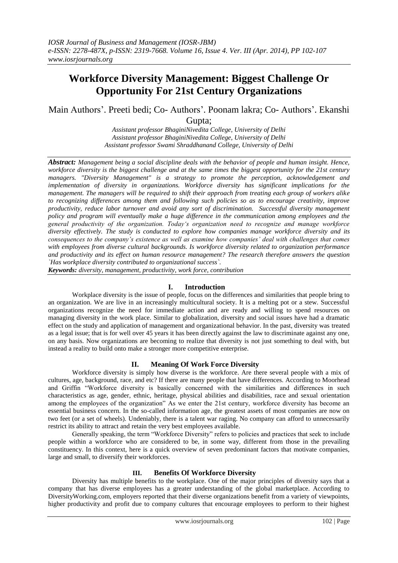# **Workforce Diversity Management: Biggest Challenge Or Opportunity For 21st Century Organizations**

Main Authors'. Preeti bedi; Co- Authors'. Poonam lakra; Co- Authors'. Ekanshi Gupta;

> *Assistant professor BhaginiNivedita College, University of Delhi Assistant professor BhaginiNivedita College, University of Delhi Assistant professor Swami Shraddhanand College, University of Delhi*

*Abstract: Management being a social discipline deals with the behavior of people and human insight. Hence, workforce diversity is the biggest challenge and at the same times the biggest opportunity for the 21st century managers. "Diversity Management" is a strategy to promote the perception, acknowledgement and implementation of diversity in organizations. Workforce diversity has significant implications for the management. The managers will be required to shift their approach from treating each group of workers alike to recognizing differences among them and following such policies so as to encourage creativity, improve productivity, reduce labor turnover and avoid any sort of discrimination. Successful diversity management policy and program will eventually make a huge difference in the communication among employees and the general productivity of the organization. Today's organization need to recognize and manage workforce diversity effectively. The study is conducted to explore how companies manage workforce diversity and its consequences to the company's existence as well as examine how companies' deal with challenges that comes with employees from diverse cultural backgrounds. Is workforce diversity related to organization performance and productivity and its effect on human resource management? The research therefore answers the question `Has workplace diversity contributed to organizational success`.*

*Keywords: diversity, management, productivity, work force, contribution*

## **I. Introduction**

Workplace diversity is the issue of people, focus on the differences and similarities that people bring to an organization. We are live in an increasingly multicultural society. It is a melting pot or a stew. Successful organizations recognize the need for immediate action and are ready and willing to spend resources on managing diversity in the work place. Similar to globalization, diversity and social issues have had a dramatic effect on the study and application of management and organizational behavior. In the past, diversity was treated as a legal issue; that is for well over 45 years it has been directly against the law to discriminate against any one, on any basis. Now organizations are becoming to realize that diversity is not just something to deal with, but instead a reality to build onto make a stronger more competitive enterprise.

## **II. Meaning Of Work Force Diversity**

Workforce diversity is simply how diverse is the workforce. Are there several people with a mix of cultures, age, background, race, and etc? If there are many people that have differences. According to Moorhead and Griffin "Workforce diversity is basically concerned with the similarities and differences in such characteristics as age, gender, ethnic, heritage, physical abilities and disabilities, race and sexual orientation among the employees of the organization" As we enter the 21st century, workforce diversity has become an essential business concern. In the so-called information age, the greatest assets of most companies are now on two feet (or a set of wheels). Undeniably, there is a talent war raging. No company can afford to unnecessarily restrict its ability to attract and retain the very best employees available.

Generally speaking, the term "Workforce Diversity" refers to policies and practices that seek to include people within a workforce who are considered to be, in some way, different from those in the prevailing constituency. In this context, here is a quick overview of seven predominant factors that motivate companies, large and small, to diversify their workforces.

### **III. Benefits Of Workforce Diversity**

Diversity has multiple benefits to the workplace. One of the major principles of diversity says that a company that has diverse employees has a greater understanding of the global marketplace. According to DiversityWorking.com, employers reported that their diverse organizations benefit from a variety of viewpoints, higher productivity and profit due to company cultures that encourage employees to perform to their highest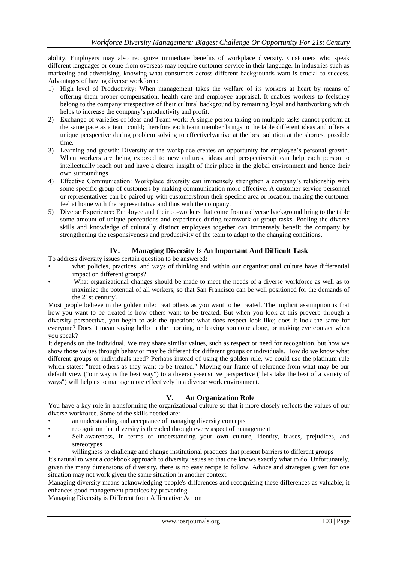ability. Employers may also recognize immediate benefits of workplace diversity. Customers who speak different languages or come from overseas may require customer service in their language. In industries such as marketing and advertising, knowing what consumers across different backgrounds want is crucial to success. Advantages of having diverse workforce:

- 1) High level of Productivity: When management takes the welfare of its workers at heart by means of offering them proper compensation, health care and employee appraisal, It enables workers to feelsthey belong to the company irrespective of their cultural background by remaining loyal and hardworking which helps to increase the company"s productivity and profit.
- 2) Exchange of varieties of ideas and Team work: A single person taking on multiple tasks cannot perform at the same pace as a team could; therefore each team member brings to the table different ideas and offers a unique perspective during problem solving to effectivelyarrive at the best solution at the shortest possible time.
- 3) Learning and growth: Diversity at the workplace creates an opportunity for employee"s personal growth. When workers are being exposed to new cultures, ideas and perspectives, it can help each person to intellectually reach out and have a clearer insight of their place in the global environment and hence their own surroundings
- 4) Effective Communication: Workplace diversity can immensely strengthen a company"s relationship with some specific group of customers by making communication more effective. A customer service personnel or representatives can be paired up with customersfrom their specific area or location, making the customer feel at home with the representative and thus with the company.
- 5) Diverse Experience: Employee and their co-workers that come from a diverse background bring to the table some amount of unique perceptions and experience during teamwork or group tasks. Pooling the diverse skills and knowledge of culturally distinct employees together can immensely benefit the company by strengthening the responsiveness and productivity of the team to adapt to the changing conditions.

## **IV. Managing Diversity Is An Important And Difficult Task**

To address diversity issues certain question to be answered:

- what policies, practices, and ways of thinking and within our organizational culture have differential impact on different groups?
- What organizational changes should be made to meet the needs of a diverse workforce as well as to maximize the potential of all workers, so that San Francisco can be well positioned for the demands of the 21st century?

Most people believe in the golden rule: treat others as you want to be treated. The implicit assumption is that how you want to be treated is how others want to be treated. But when you look at this proverb through a diversity perspective, you begin to ask the question: what does respect look like; does it look the same for everyone? Does it mean saying hello in the morning, or leaving someone alone, or making eye contact when you speak?

It depends on the individual. We may share similar values, such as respect or need for recognition, but how we show those values through behavior may be different for different groups or individuals. How do we know what different groups or individuals need? Perhaps instead of using the golden rule, we could use the platinum rule which states: "treat others as they want to be treated." Moving our frame of reference from what may be our default view ("our way is the best way") to a diversity-sensitive perspective ("let's take the best of a variety of ways") will help us to manage more effectively in a diverse work environment.

## **V. An Organization Role**

You have a key role in transforming the organizational culture so that it more closely reflects the values of our diverse workforce. Some of the skills needed are:

- an understanding and acceptance of managing diversity concepts
- recognition that diversity is threaded through every aspect of management
- Self-awareness, in terms of understanding your own culture, identity, biases, prejudices, and stereotypes
- willingness to challenge and change institutional practices that present barriers to different groups

It's natural to want a cookbook approach to diversity issues so that one knows exactly what to do. Unfortunately, given the many dimensions of diversity, there is no easy recipe to follow. Advice and strategies given for one situation may not work given the same situation in another context.

Managing diversity means acknowledging people's differences and recognizing these differences as valuable; it enhances good management practices by preventing

Managing Diversity is Different from Affirmative Action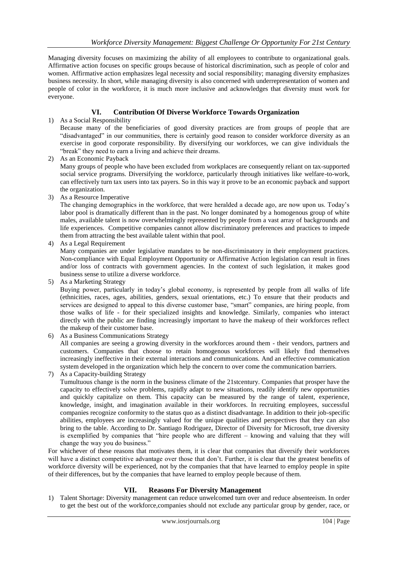Managing diversity focuses on maximizing the ability of all employees to contribute to organizational goals. Affirmative action focuses on specific groups because of historical discrimination, such as people of color and women. Affirmative action emphasizes legal necessity and social responsibility; managing diversity emphasizes business necessity. In short, while managing diversity is also concerned with underrepresentation of women and people of color in the workforce, it is much more inclusive and acknowledges that diversity must work for everyone.

# **VI. Contribution Of Diverse Workforce Towards Organization**

1) As a Social Responsibility

Because many of the beneficiaries of good diversity practices are from groups of people that are "disadvantaged" in our communities, there is certainly good reason to consider workforce diversity as an exercise in good corporate responsibility. By diversifying our workforces, we can give individuals the "break" they need to earn a living and achieve their dreams.

- 2) As an Economic Payback Many groups of people who have been excluded from workplaces are consequently reliant on tax-supported social service programs. Diversifying the workforce, particularly through initiatives like welfare-to-work, can effectively turn tax users into tax payers. So in this way it prove to be an economic payback and support the organization.
- 3) As a Resource Imperative

The changing demographics in the workforce, that were heralded a decade ago, are now upon us. Today"s labor pool is dramatically different than in the past. No longer dominated by a homogenous group of white males, available talent is now overwhelmingly represented by people from a vast array of backgrounds and life experiences. Competitive companies cannot allow discriminatory preferences and practices to impede them from attracting the best available talent within that pool.

4) As a Legal Requirement

Many companies are under legislative mandates to be non-discriminatory in their employment practices. Non-compliance with Equal Employment Opportunity or Affirmative Action legislation can result in fines and/or loss of contracts with government agencies. In the context of such legislation, it makes good business sense to utilize a diverse workforce.

5) As a Marketing Strategy

Buying power, particularly in today"s global economy, is represented by people from all walks of life (ethnicities, races, ages, abilities, genders, sexual orientations, etc.) To ensure that their products and services are designed to appeal to this diverse customer base, "smart" companies, are hiring people, from those walks of life - for their specialized insights and knowledge. Similarly, companies who interact directly with the public are finding increasingly important to have the makeup of their workforces reflect the makeup of their customer base.

- 6) As a Business Communications Strategy All companies are seeing a growing diversity in the workforces around them - their vendors, partners and customers. Companies that choose to retain homogenous workforces will likely find themselves increasingly ineffective in their external interactions and communications. And an effective communication system developed in the organization which help the concern to over come the communication barriers.
- 7) As a Capacity-building Strategy

Tumultuous change is the norm in the business climate of the 21stcentury. Companies that prosper have the capacity to effectively solve problems, rapidly adapt to new situations, readily identify new opportunities and quickly capitalize on them. This capacity can be measured by the range of talent, experience, knowledge, insight, and imagination available in their workforces. In recruiting employees, successful companies recognize conformity to the status quo as a distinct disadvantage. In addition to their job-specific abilities, employees are increasingly valued for the unique qualities and perspectives that they can also bring to the table. According to Dr. Santiago Rodriguez, Director of Diversity for Microsoft, true diversity is exemplified by companies that "hire people who are different – knowing and valuing that they will change the way you do business."

For whichever of these reasons that motivates them, it is clear that companies that diversify their workforces will have a distinct competitive advantage over those that don't. Further, it is clear that the greatest benefits of workforce diversity will be experienced, not by the companies that that have learned to employ people in spite of their differences, but by the companies that have learned to employ people because of them.

## **VII. Reasons For Diversity Management**

1) Talent Shortage: Diversity management can reduce unwelcomed turn over and reduce absenteeism. In order to get the best out of the workforce,companies should not exclude any particular group by gender, race, or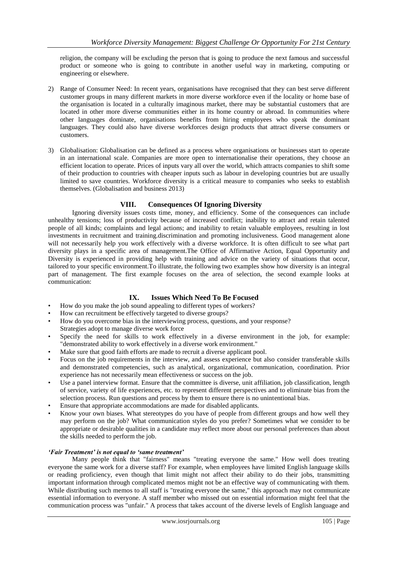religion, the company will be excluding the person that is going to produce the next famous and successful product or someone who is going to contribute in another useful way in marketing, computing or engineering or elsewhere.

- 2) Range of Consumer Need: In recent years, organisations have recognised that they can best serve different customer groups in many different markets in more diverse workforce even if the locality or home base of the organisation is located in a culturally imaginous market, there may be substantial customers that are located in other more diverse communities either in its home country or abroad. In communities where other languages dominate, organisations benefits from hiring employees who speak the dominant languages. They could also have diverse workforces design products that attract diverse consumers or customers.
- 3) Globalisation: Globalisation can be defined as a process where organisations or businesses start to operate in an international scale. Companies are more open to internationalise their operations, they choose an efficient location to operate. Prices of inputs vary all over the world, which attracts companies to shift some of their production to countries with cheaper inputs such as labour in developing countries but are usually limited to save countries. Workforce diversity is a critical measure to companies who seeks to establish themselves. (Globalisation and business 2013)

### **VIII. Consequences Of Ignoring Diversity**

Ignoring diversity issues costs time, money, and efficiency. Some of the consequences can include unhealthy tensions; loss of productivity because of increased conflict; inability to attract and retain talented people of all kinds; complaints and legal actions; and inability to retain valuable employees, resulting in lost investments in recruitment and training.discrimination and promoting inclusiveness. Good management alone will not necessarily help you work effectively with a diverse workforce. It is often difficult to see what part diversity plays in a specific area of management.The Office of Affirmative Action, Equal Opportunity and Diversity is experienced in providing help with training and advice on the variety of situations that occur, tailored to your specific environment.To illustrate, the following two examples show how diversity is an integral part of management. The first example focuses on the area of selection, the second example looks at communication:

### **IX. Issues Which Need To Be Focused**

- How do you make the job sound appealing to different types of workers?
- How can recruitment be effectively targeted to diverse groups?
- How do you overcome bias in the interviewing process, questions, and your response? Strategies adopt to manage diverse work force
- Specify the need for skills to work effectively in a diverse environment in the job, for example: "demonstrated ability to work effectively in a diverse work environment."
- Make sure that good faith efforts are made to recruit a diverse applicant pool.
- Focus on the job requirements in the interview, and assess experience but also consider transferable skills and demonstrated competencies, such as analytical, organizational, communication, coordination. Prior experience has not necessarily mean effectiveness or success on the job.
- Use a panel interview format. Ensure that the committee is diverse, unit affiliation, job classification, length of service, variety of life experiences, etc. to represent different perspectives and to eliminate bias from the selection process. Run questions and process by them to ensure there is no unintentional bias.
- Ensure that appropriate accommodations are made for disabled applicants.
- Know your own biases. What stereotypes do you have of people from different groups and how well they may perform on the job? What communication styles do you prefer? Sometimes what we consider to be appropriate or desirable qualities in a candidate may reflect more about our personal preferences than about the skills needed to perform the job.

#### *'Fair Treatment' is not equal to 'same treatment'*

Many people think that "fairness" means "treating everyone the same." How well does treating everyone the same work for a diverse staff? For example, when employees have limited English language skills or reading proficiency, even though that limit might not affect their ability to do their jobs, transmitting important information through complicated memos might not be an effective way of communicating with them. While distributing such memos to all staff is "treating everyone the same," this approach may not communicate essential information to everyone. A staff member who missed out on essential information might feel that the communication process was "unfair." A process that takes account of the diverse levels of English language and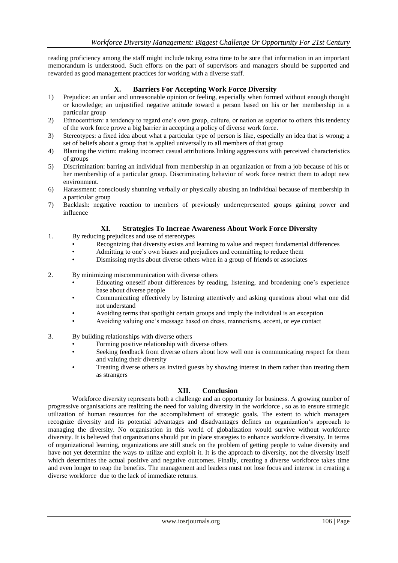reading proficiency among the staff might include taking extra time to be sure that information in an important memorandum is understood. Such efforts on the part of supervisors and managers should be supported and rewarded as good management practices for working with a diverse staff.

## **X. Barriers For Accepting Work Force Diversity**

- 1) Prejudice: an unfair and unreasonable opinion or feeling, especially when formed without enough thought or knowledge; an unjustified negative attitude toward a person based on his or her membership in a particular group
- 2) Ethnocentrism: a tendency to regard one"s own group, culture, or nation as superior to others this tendency of the work force prove a big barrier in accepting a policy of diverse work force.
- 3) Stereotypes: a fixed idea about what a particular type of person is like, especially an idea that is wrong; a set of beliefs about a group that is applied universally to all members of that group
- 4) Blaming the victim: making incorrect casual attributions linking aggressions with perceived characteristics of groups
- 5) Discrimination: barring an individual from membership in an organization or from a job because of his or her membership of a particular group. Discriminating behavior of work force restrict them to adopt new environment.
- 6) Harassment: consciously shunning verbally or physically abusing an individual because of membership in a particular group
- 7) Backlash: negative reaction to members of previously underrepresented groups gaining power and influence

### **XI. Strategies To Increae Awareness About Work Force Diversity**

- 1. By reducing prejudices and use of stereotypes
	- Recognizing that diversity exists and learning to value and respect fundamental differences
	- Admitting to one"s own biases and prejudices and committing to reduce them
	- Dismissing myths about diverse others when in a group of friends or associates
- 2. By minimizing miscommunication with diverse others
	- Educating oneself about differences by reading, listening, and broadening one"s experience base about diverse people
	- Communicating effectively by listening attentively and asking questions about what one did not understand
	- Avoiding terms that spotlight certain groups and imply the individual is an exception
	- Avoiding valuing one"s message based on dress, mannerisms, accent, or eye contact
- 3. By building relationships with diverse others
	- Forming positive relationship with diverse others
	- Seeking feedback from diverse others about how well one is communicating respect for them and valuing their diversity
	- Treating diverse others as invited guests by showing interest in them rather than treating them as strangers

### **XII. Conclusion**

Workforce diversity represents both a challenge and an opportunity for business. A growing number of progressive organisations are realizing the need for valuing diversity in the workforce , so as to ensure strategic utilization of human resources for the accomplishment of strategic goals. The extent to which managers recognize diversity and its potential advantages and disadvantages defines an organization"s approach to managing the diversity. No organisation in this world of globalization would survive without workforce diversity. It is believed that organizations should put in place strategies to enhance workforce diversity. In terms of organizational learning, organizations are still stuck on the problem of getting people to value diversity and have not yet determine the ways to utilize and exploit it. It is the approach to diversity, not the diversity itself which determines the actual positive and negative outcomes. Finally, creating a diverse workforce takes time and even longer to reap the benefits. The management and leaders must not lose focus and interest in creating a diverse workforce due to the lack of immediate returns.